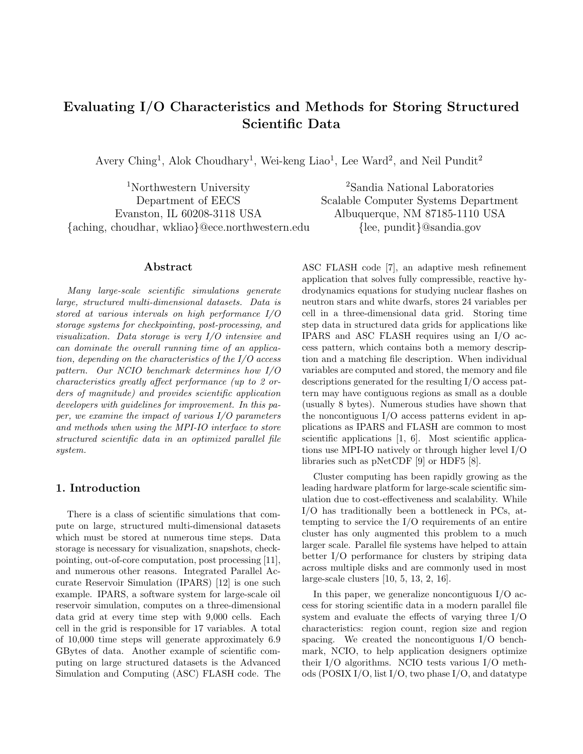# **Evaluating I/O Characteristics and Methods for Storing Structured Scientific Data**

Avery Ching<sup>1</sup>, Alok Choudhary<sup>1</sup>, Wei-keng Liao<sup>1</sup>, Lee Ward<sup>2</sup>, and Neil Pundit<sup>2</sup>

Evanston, IL 60208-3118 USA Albuquerque, NM 87185-1110 USA *{*aching, choudhar, wkliao*}*@ece.northwestern.edu *{*lee, pundit*}*@sandia.gov

**Abstract**

*Many large-scale scientific simulations generate large, structured multi-dimensional datasets. Data is stored at various intervals on high performance I/O storage systems for checkpointing, post-processing, and visualization. Data storage is very I/O intensive and can dominate the overall running time of an application, depending on the characteristics of the I/O access pattern. Our NCIO benchmark determines how I/O characteristics greatly affect performance (up to 2 orders of magnitude) and provides scientific application developers with guidelines for improvement. In this paper, we examine the impact of various I/O parameters and methods when using the MPI-IO interface to store structured scientific data in an optimized parallel file system.*

# **1. Introduction**

There is a class of scientific simulations that compute on large, structured multi-dimensional datasets which must be stored at numerous time steps. Data storage is necessary for visualization, snapshots, checkpointing, out-of-core computation, post processing [11], and numerous other reasons. Integrated Parallel Accurate Reservoir Simulation (IPARS) [12] is one such example. IPARS, a software system for large-scale oil reservoir simulation, computes on a three-dimensional data grid at every time step with 9,000 cells. Each cell in the grid is responsible for 17 variables. A total of 10,000 time steps will generate approximately 6.9 GBytes of data. Another example of scientific computing on large structured datasets is the Advanced Simulation and Computing (ASC) FLASH code. The

<sup>1</sup>Northwestern University <sup>2</sup>Sandia National Laboratories Department of EECS Scalable Computer Systems Department

> ASC FLASH code [7], an adaptive mesh refinement application that solves fully compressible, reactive hydrodynamics equations for studying nuclear flashes on neutron stars and white dwarfs, stores 24 variables per cell in a three-dimensional data grid. Storing time step data in structured data grids for applications like IPARS and ASC FLASH requires using an I/O access pattern, which contains both a memory description and a matching file description. When individual variables are computed and stored, the memory and file descriptions generated for the resulting I/O access pattern may have contiguous regions as small as a double (usually 8 bytes). Numerous studies have shown that the noncontiguous I/O access patterns evident in applications as IPARS and FLASH are common to most scientific applications [1, 6]. Most scientific applications use MPI-IO natively or through higher level I/O libraries such as pNetCDF [9] or HDF5 [8].

> Cluster computing has been rapidly growing as the leading hardware platform for large-scale scientific simulation due to cost-effectiveness and scalability. While I/O has traditionally been a bottleneck in PCs, attempting to service the I/O requirements of an entire cluster has only augmented this problem to a much larger scale. Parallel file systems have helped to attain better I/O performance for clusters by striping data across multiple disks and are commonly used in most large-scale clusters [10, 5, 13, 2, 16].

> In this paper, we generalize noncontiguous  $I/O$  access for storing scientific data in a modern parallel file system and evaluate the effects of varying three I/O characteristics: region count, region size and region spacing. We created the noncontiguous I/O benchmark, NCIO, to help application designers optimize their I/O algorithms. NCIO tests various I/O methods (POSIX I/O, list I/O, two phase I/O, and datatype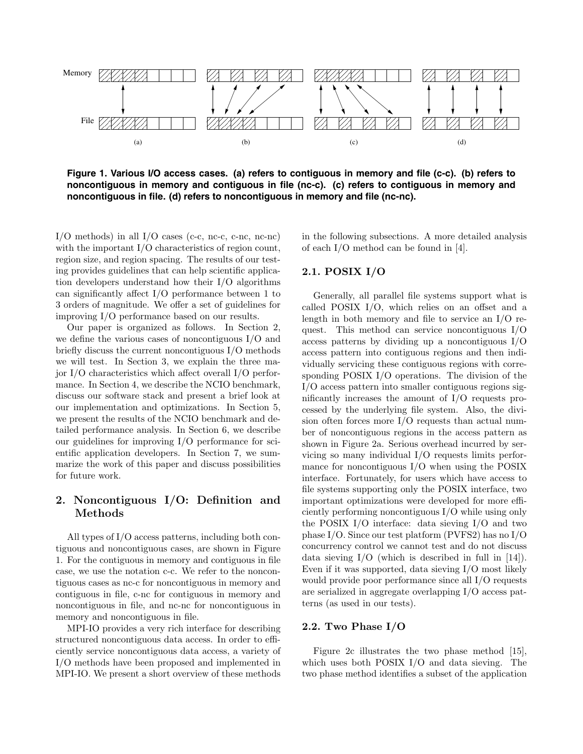

**Figure 1. Various I/O access cases. (a) refers to contiguous in memory and file (c-c). (b) refers to noncontiguous in memory and contiguous in file (nc-c). (c) refers to contiguous in memory and noncontiguous in file. (d) refers to noncontiguous in memory and file (nc-nc).**

 $I/O$  methods) in all  $I/O$  cases (c-c, nc-c, c-nc, nc-nc) with the important I/O characteristics of region count, region size, and region spacing. The results of our testing provides guidelines that can help scientific application developers understand how their I/O algorithms can significantly affect I/O performance between 1 to 3 orders of magnitude. We offer a set of guidelines for improving I/O performance based on our results.

Our paper is organized as follows. In Section 2, we define the various cases of noncontiguous I/O and briefly discuss the current noncontiguous I/O methods we will test. In Section 3, we explain the three major I/O characteristics which affect overall I/O performance. In Section 4, we describe the NCIO benchmark, discuss our software stack and present a brief look at our implementation and optimizations. In Section 5, we present the results of the NCIO benchmark and detailed performance analysis. In Section 6, we describe our guidelines for improving I/O performance for scientific application developers. In Section 7, we summarize the work of this paper and discuss possibilities for future work.

# **2. Noncontiguous I/O: Definition and Methods**

All types of I/O access patterns, including both contiguous and noncontiguous cases, are shown in Figure 1. For the contiguous in memory and contiguous in file case, we use the notation c-c. We refer to the noncontiguous cases as nc-c for noncontiguous in memory and contiguous in file, c-nc for contiguous in memory and noncontiguous in file, and nc-nc for noncontiguous in memory and noncontiguous in file.

MPI-IO provides a very rich interface for describing structured noncontiguous data access. In order to efficiently service noncontiguous data access, a variety of I/O methods have been proposed and implemented in MPI-IO. We present a short overview of these methods in the following subsections. A more detailed analysis of each I/O method can be found in [4].

# **2.1. POSIX I/O**

Generally, all parallel file systems support what is called POSIX I/O, which relies on an offset and a length in both memory and file to service an I/O request. This method can service noncontiguous I/O access patterns by dividing up a noncontiguous I/O access pattern into contiguous regions and then individually servicing these contiguous regions with corresponding POSIX I/O operations. The division of the I/O access pattern into smaller contiguous regions significantly increases the amount of I/O requests processed by the underlying file system. Also, the division often forces more I/O requests than actual number of noncontiguous regions in the access pattern as shown in Figure 2a. Serious overhead incurred by servicing so many individual I/O requests limits performance for noncontiguous I/O when using the POSIX interface. Fortunately, for users which have access to file systems supporting only the POSIX interface, two important optimizations were developed for more efficiently performing noncontiguous I/O while using only the POSIX I/O interface: data sieving I/O and two phase I/O. Since our test platform (PVFS2) has no I/O concurrency control we cannot test and do not discuss data sieving I/O (which is described in full in [14]). Even if it was supported, data sieving I/O most likely would provide poor performance since all I/O requests are serialized in aggregate overlapping I/O access patterns (as used in our tests).

# **2.2. Two Phase I/O**

Figure 2c illustrates the two phase method [15], which uses both POSIX I/O and data sieving. The two phase method identifies a subset of the application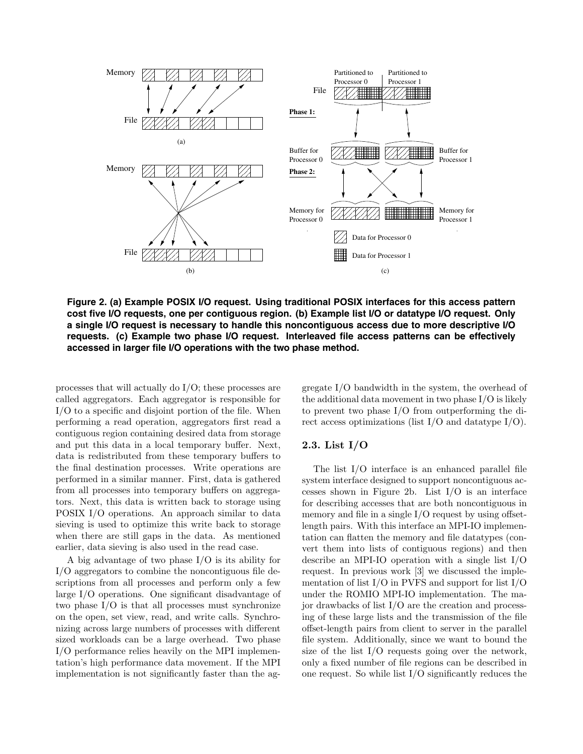

**Figure 2. (a) Example POSIX I/O request. Using traditional POSIX interfaces for this access pattern cost five I/O requests, one per contiguous region. (b) Example list I/O or datatype I/O request. Only a single I/O request is necessary to handle this noncontiguous access due to more descriptive I/O requests. (c) Example two phase I/O request. Interleaved file access patterns can be effectively accessed in larger file I/O operations with the two phase method.**

processes that will actually do I/O; these processes are called aggregators. Each aggregator is responsible for I/O to a specific and disjoint portion of the file. When performing a read operation, aggregators first read a contiguous region containing desired data from storage and put this data in a local temporary buffer. Next, data is redistributed from these temporary buffers to the final destination processes. Write operations are performed in a similar manner. First, data is gathered from all processes into temporary buffers on aggregators. Next, this data is written back to storage using POSIX I/O operations. An approach similar to data sieving is used to optimize this write back to storage when there are still gaps in the data. As mentioned earlier, data sieving is also used in the read case.

A big advantage of two phase I/O is its ability for I/O aggregators to combine the noncontiguous file descriptions from all processes and perform only a few large I/O operations. One significant disadvantage of two phase I/O is that all processes must synchronize on the open, set view, read, and write calls. Synchronizing across large numbers of processes with different sized workloads can be a large overhead. Two phase I/O performance relies heavily on the MPI implementation's high performance data movement. If the MPI implementation is not significantly faster than the aggregate I/O bandwidth in the system, the overhead of the additional data movement in two phase I/O is likely to prevent two phase I/O from outperforming the direct access optimizations (list I/O and datatype I/O).

# **2.3. List I/O**

The list I/O interface is an enhanced parallel file system interface designed to support noncontiguous accesses shown in Figure 2b. List I/O is an interface for describing accesses that are both noncontiguous in memory and file in a single I/O request by using offsetlength pairs. With this interface an MPI-IO implementation can flatten the memory and file datatypes (convert them into lists of contiguous regions) and then describe an MPI-IO operation with a single list I/O request. In previous work [3] we discussed the implementation of list I/O in PVFS and support for list I/O under the ROMIO MPI-IO implementation. The major drawbacks of list I/O are the creation and processing of these large lists and the transmission of the file offset-length pairs from client to server in the parallel file system. Additionally, since we want to bound the size of the list I/O requests going over the network, only a fixed number of file regions can be described in one request. So while list I/O significantly reduces the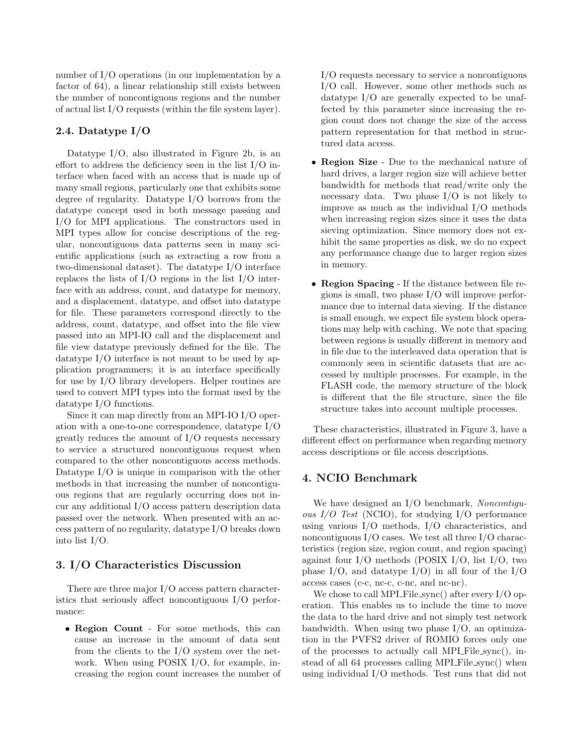number of I/O operations (in our implementation by a factor of 64), a linear relationship still exists between the number of noncontiguous regions and the number of actual list I/O requests (within the file system layer).

# **2.4. Datatype I/O**

Datatype I/O, also illustrated in Figure 2b, is an effort to address the deficiency seen in the list I/O interface when faced with an access that is made up of many small regions, particularly one that exhibits some degree of regularity. Datatype I/O borrows from the datatype concept used in both message passing and I/O for MPI applications. The constructors used in MPI types allow for concise descriptions of the regular, noncontiguous data patterns seen in many scientific applications (such as extracting a row from a two-dimensional dataset). The datatype I/O interface replaces the lists of I/O regions in the list I/O interface with an address, count, and datatype for memory, and a displacement, datatype, and offset into datatype for file. These parameters correspond directly to the address, count, datatype, and offset into the file view passed into an MPI-IO call and the displacement and file view datatype previously defined for the file. The datatype I/O interface is not meant to be used by application programmers; it is an interface specifically for use by I/O library developers. Helper routines are used to convert MPI types into the format used by the datatype I/O functions.

Since it can map directly from an MPI-IO I/O operation with a one-to-one correspondence, datatype I/O greatly reduces the amount of I/O requests necessary to service a structured noncontiguous request when compared to the other noncontiguous access methods. Datatype I/O is unique in comparison with the other methods in that increasing the number of noncontiguous regions that are regularly occurring does not incur any additional I/O access pattern description data passed over the network. When presented with an access pattern of no regularity, datatype I/O breaks down into list I/O.

# **3. I/O Characteristics Discussion**

There are three major I/O access pattern characteristics that seriously affect noncontiguous I/O performance:

*•* **Region Count** - For some methods, this can cause an increase in the amount of data sent from the clients to the  $I/O$  system over the network. When using POSIX I/O, for example, increasing the region count increases the number of I/O requests necessary to service a noncontiguous I/O call. However, some other methods such as datatype I/O are generally expected to be unaffected by this parameter since increasing the region count does not change the size of the access pattern representation for that method in structured data access.

- *•* **Region Size** Due to the mechanical nature of hard drives, a larger region size will achieve better bandwidth for methods that read/write only the necessary data. Two phase I/O is not likely to improve as much as the individual I/O methods when increasing region sizes since it uses the data sieving optimization. Since memory does not exhibit the same properties as disk, we do no expect any performance change due to larger region sizes in memory.
- *•* **Region Spacing** If the distance between file regions is small, two phase I/O will improve performance due to internal data sieving. If the distance is small enough, we expect file system block operations may help with caching. We note that spacing between regions is usually different in memory and in file due to the interleaved data operation that is commonly seen in scientific datasets that are accessed by multiple processes. For example, in the FLASH code, the memory structure of the block is different that the file structure, since the file structure takes into account multiple processes.

These characteristics, illustrated in Figure 3, have a different effect on performance when regarding memory access descriptions or file access descriptions.

# **4. NCIO Benchmark**

We have designed an I/O benchmark, *Noncontiguous I/O Test* (NCIO), for studying I/O performance using various I/O methods, I/O characteristics, and noncontiguous I/O cases. We test all three I/O characteristics (region size, region count, and region spacing) against four I/O methods (POSIX I/O, list I/O, two phase I/O, and data type I/O in all four of the I/O access cases (c-c, nc-c, c-nc, and nc-nc).

We chose to call MPI File sync() after every I/O operation. This enables us to include the time to move the data to the hard drive and not simply test network bandwidth. When using two phase I/O, an optimization in the PVFS2 driver of ROMIO forces only one of the processes to actually call MPI File  $\text{sync}()$ , instead of all 64 processes calling MPI File sync() when using individual I/O methods. Test runs that did not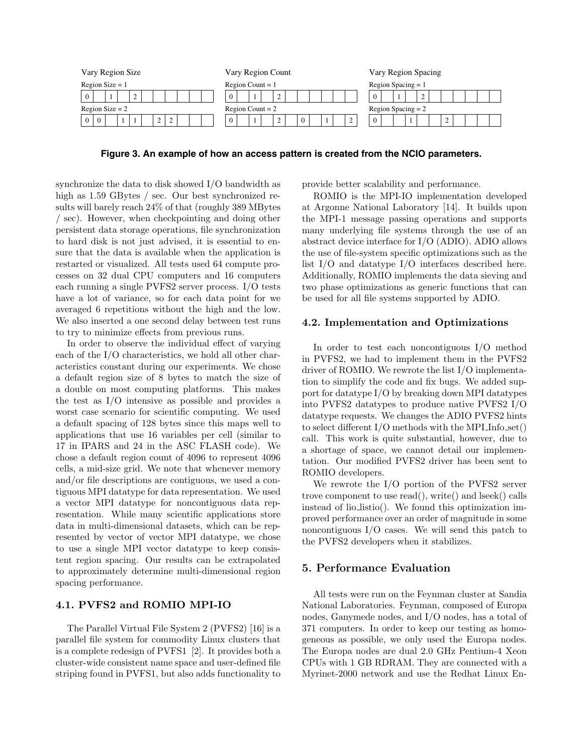

**Figure 3. An example of how an access pattern is created from the NCIO parameters.**

synchronize the data to disk showed I/O bandwidth as high as 1.59 GBytes / sec. Our best synchronized results will barely reach 24% of that (roughly 389 MBytes / sec). However, when checkpointing and doing other persistent data storage operations, file synchronization to hard disk is not just advised, it is essential to ensure that the data is available when the application is restarted or visualized. All tests used 64 compute processes on 32 dual CPU computers and 16 computers each running a single PVFS2 server process. I/O tests have a lot of variance, so for each data point for we averaged 6 repetitions without the high and the low. We also inserted a one second delay between test runs to try to minimize effects from previous runs.

In order to observe the individual effect of varying each of the I/O characteristics, we hold all other characteristics constant during our experiments. We chose a default region size of 8 bytes to match the size of a double on most computing platforms. This makes the test as I/O intensive as possible and provides a worst case scenario for scientific computing. We used a default spacing of 128 bytes since this maps well to applications that use 16 variables per cell (similar to 17 in IPARS and 24 in the ASC FLASH code). We chose a default region count of 4096 to represent 4096 cells, a mid-size grid. We note that whenever memory and/or file descriptions are contiguous, we used a contiguous MPI datatype for data representation. We used a vector MPI datatype for noncontiguous data representation. While many scientific applications store data in multi-dimensional datasets, which can be represented by vector of vector MPI datatype, we chose to use a single MPI vector datatype to keep consistent region spacing. Our results can be extrapolated to approximately determine multi-dimensional region spacing performance.

### **4.1. PVFS2 and ROMIO MPI-IO**

The Parallel Virtual File System 2 (PVFS2) [16] is a parallel file system for commodity Linux clusters that is a complete redesign of PVFS1 [2]. It provides both a cluster-wide consistent name space and user-defined file striping found in PVFS1, but also adds functionality to provide better scalability and performance.

ROMIO is the MPI-IO implementation developed at Argonne National Laboratory [14]. It builds upon the MPI-1 message passing operations and supports many underlying file systems through the use of an abstract device interface for I/O (ADIO). ADIO allows the use of file-system specific optimizations such as the list I/O and datatype I/O interfaces described here. Additionally, ROMIO implements the data sieving and two phase optimizations as generic functions that can be used for all file systems supported by ADIO.

#### **4.2. Implementation and Optimizations**

In order to test each noncontiguous I/O method in PVFS2, we had to implement them in the PVFS2 driver of ROMIO. We rewrote the list I/O implementation to simplify the code and fix bugs. We added support for datatype I/O by breaking down MPI datatypes into PVFS2 datatypes to produce native PVFS2 I/O datatype requests. We changes the ADIO PVFS2 hints to select different  $I/O$  methods with the MPI Info  $set()$ call. This work is quite substantial, however, due to a shortage of space, we cannot detail our implementation. Our modified PVFS2 driver has been sent to ROMIO developers.

We rewrote the I/O portion of the PVFS2 server trove component to use read(), write() and lseek() calls instead of lio listio(). We found this optimization improved performance over an order of magnitude in some noncontiguous I/O cases. We will send this patch to the PVFS2 developers when it stabilizes.

# **5. Performance Evaluation**

All tests were run on the Feynman cluster at Sandia National Laboratories. Feynman, composed of Europa nodes, Ganymede nodes, and I/O nodes, has a total of 371 computers. In order to keep our testing as homogeneous as possible, we only used the Europa nodes. The Europa nodes are dual 2.0 GHz Pentium-4 Xeon CPUs with 1 GB RDRAM. They are connected with a Myrinet-2000 network and use the Redhat Linux En-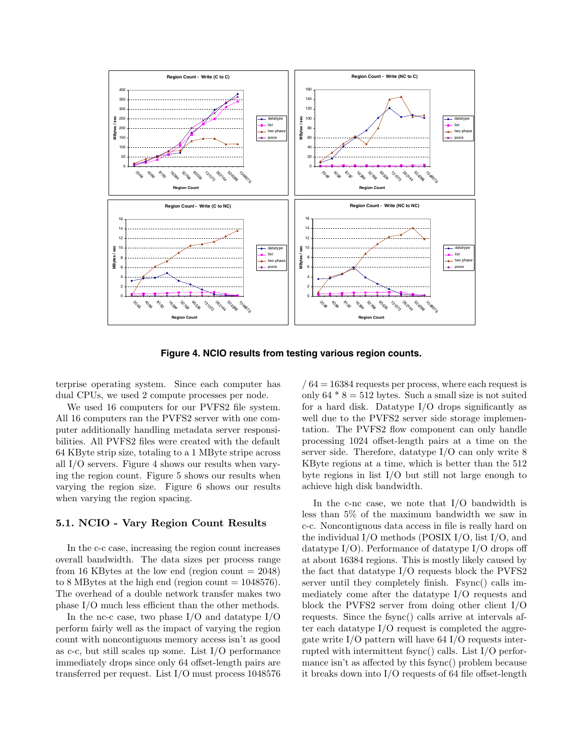

**Figure 4. NCIO results from testing various region counts.**

terprise operating system. Since each computer has dual CPUs, we used 2 compute processes per node.

We used 16 computers for our PVFS2 file system. All 16 computers ran the PVFS2 server with one computer additionally handling metadata server responsibilities. All PVFS2 files were created with the default 64 KByte strip size, totaling to a 1 MByte stripe across all I/O servers. Figure 4 shows our results when varying the region count. Figure 5 shows our results when varying the region size. Figure 6 shows our results when varying the region spacing.

# **5.1. NCIO - Vary Region Count Results**

In the c-c case, increasing the region count increases overall bandwidth. The data sizes per process range from 16 KBytes at the low end (region count  $= 2048$ ) to 8 MBytes at the high end (region count  $= 1048576$ ). The overhead of a double network transfer makes two phase I/O much less efficient than the other methods.

In the nc-c case, two phase I/O and datatype I/O perform fairly well as the impact of varying the region count with noncontiguous memory access isn't as good as c-c, but still scales up some. List I/O performance immediately drops since only 64 offset-length pairs are transferred per request. List I/O must process 1048576

 $/ 64 = 16384$  requests per process, where each request is only  $64 * 8 = 512$  bytes. Such a small size is not suited for a hard disk. Datatype I/O drops significantly as well due to the PVFS2 server side storage implementation. The PVFS2 flow component can only handle processing 1024 offset-length pairs at a time on the server side. Therefore, datatype I/O can only write 8 KByte regions at a time, which is better than the 512 byte regions in list I/O but still not large enough to achieve high disk bandwidth.

In the c-nc case, we note that I/O bandwidth is less than 5% of the maximum bandwidth we saw in c-c. Noncontiguous data access in file is really hard on the individual I/O methods (POSIX I/O, list I/O, and datatype I/O). Performance of datatype I/O drops off at about 16384 regions. This is mostly likely caused by the fact that datatype I/O requests block the PVFS2 server until they completely finish. Fsync() calls immediately come after the datatype I/O requests and block the PVFS2 server from doing other client I/O requests. Since the fsync() calls arrive at intervals after each datatype I/O request is completed the aggregate write I/O pattern will have 64 I/O requests interrupted with intermittent fsync() calls. List I/O performance isn't as affected by this fsync() problem because it breaks down into I/O requests of 64 file offset-length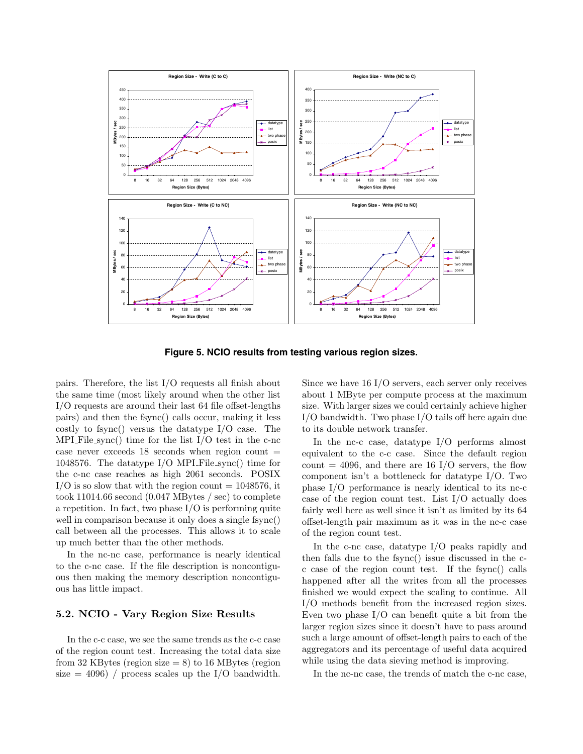

**Figure 5. NCIO results from testing various region sizes.**

pairs. Therefore, the list I/O requests all finish about the same time (most likely around when the other list I/O requests are around their last 64 file offset-lengths pairs) and then the fsync() calls occur, making it less costly to fsync() versus the datatype I/O case. The  $MPI$ -File\_sync() time for the list I/O test in the c-nc case never exceeds  $18$  seconds when region count  $=$ 1048576. The datatype I/O MPI File sync() time for the c-nc case reaches as high 2061 seconds. POSIX I/O is so slow that with the region count  $= 1048576$ , it took 11014.66 second (0.047 MBytes / sec) to complete a repetition. In fact, two phase I/O is performing quite well in comparison because it only does a single fsync() call between all the processes. This allows it to scale up much better than the other methods.

In the nc-nc case, performance is nearly identical to the c-nc case. If the file description is noncontiguous then making the memory description noncontiguous has little impact.

# **5.2. NCIO - Vary Region Size Results**

In the c-c case, we see the same trends as the c-c case of the region count test. Increasing the total data size from 32 KBytes (region size  $= 8$ ) to 16 MBytes (region size  $= 4096$ ) / process scales up the I/O bandwidth.

Since we have 16 I/O servers, each server only receives about 1 MByte per compute process at the maximum size. With larger sizes we could certainly achieve higher I/O bandwidth. Two phase I/O tails off here again due to its double network transfer.

In the nc-c case, datatype I/O performs almost equivalent to the c-c case. Since the default region count = 4096, and there are 16 I/O servers, the flow component isn't a bottleneck for datatype I/O. Two phase I/O performance is nearly identical to its nc-c case of the region count test. List I/O actually does fairly well here as well since it isn't as limited by its 64 offset-length pair maximum as it was in the nc-c case of the region count test.

In the c-nc case, datatype I/O peaks rapidly and then falls due to the fsync() issue discussed in the cc case of the region count test. If the fsync() calls happened after all the writes from all the processes finished we would expect the scaling to continue. All I/O methods benefit from the increased region sizes. Even two phase I/O can benefit quite a bit from the larger region sizes since it doesn't have to pass around such a large amount of offset-length pairs to each of the aggregators and its percentage of useful data acquired while using the data sieving method is improving.

In the nc-nc case, the trends of match the c-nc case,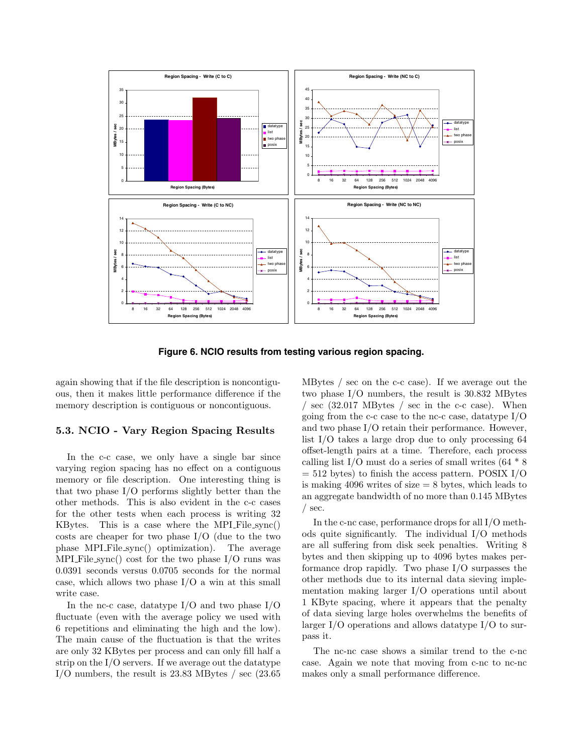

**Figure 6. NCIO results from testing various region spacing.**

again showing that if the file description is noncontiguous, then it makes little performance difference if the memory description is contiguous or noncontiguous.

# **5.3. NCIO - Vary Region Spacing Results**

In the c-c case, we only have a single bar since varying region spacing has no effect on a contiguous memory or file description. One interesting thing is that two phase I/O performs slightly better than the other methods. This is also evident in the c-c cases for the other tests when each process is writing 32 KBytes. This is a case where the MPI File  $sync()$ costs are cheaper for two phase I/O (due to the two phase MPI File sync() optimization). The average MPI File sync() cost for the two phase  $I/O$  runs was 0.0391 seconds versus 0.0705 seconds for the normal case, which allows two phase I/O a win at this small write case.

In the nc-c case, datatype I/O and two phase I/O fluctuate (even with the average policy we used with 6 repetitions and eliminating the high and the low). The main cause of the fluctuation is that the writes are only 32 KBytes per process and can only fill half a strip on the I/O servers. If we average out the datatype I/O numbers, the result is 23.83 MBytes / sec (23.65 MBytes / sec on the c-c case). If we average out the two phase I/O numbers, the result is 30.832 MBytes  $/$  sec (32.017 MBytes  $/$  sec in the c-c case). When going from the c-c case to the nc-c case, datatype I/O and two phase I/O retain their performance. However, list I/O takes a large drop due to only processing 64 offset-length pairs at a time. Therefore, each process calling list I/O must do a series of small writes  $(64 * 8)$  $= 512$  bytes) to finish the access pattern. POSIX I/O is making 4096 writes of size  $= 8$  bytes, which leads to an aggregate bandwidth of no more than 0.145 MBytes  $/$  sec.

In the c-nc case, performance drops for all I/O methods quite significantly. The individual I/O methods are all suffering from disk seek penalties. Writing 8 bytes and then skipping up to 4096 bytes makes performance drop rapidly. Two phase I/O surpasses the other methods due to its internal data sieving implementation making larger I/O operations until about 1 KByte spacing, where it appears that the penalty of data sieving large holes overwhelms the benefits of larger I/O operations and allows datatype I/O to surpass it.

The nc-nc case shows a similar trend to the c-nc case. Again we note that moving from c-nc to nc-nc makes only a small performance difference.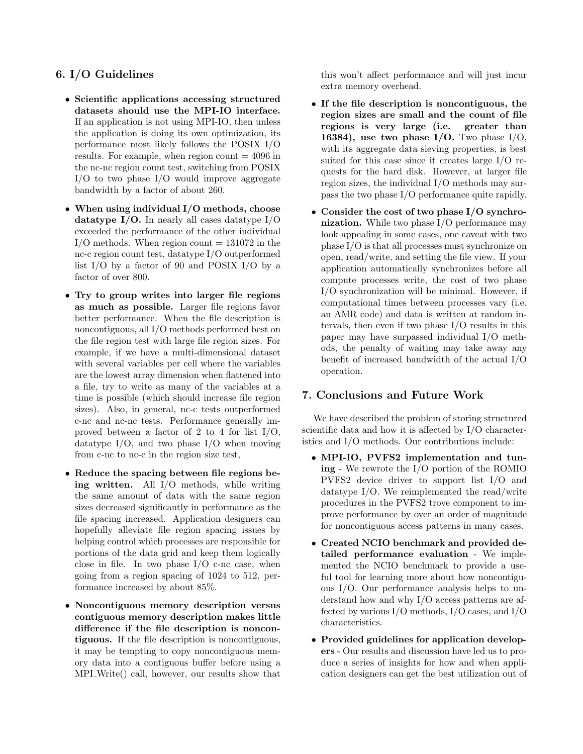# **6. I/O Guidelines**

- *•* **Scientific applications accessing structured datasets should use the MPI-IO interface.** If an application is not using MPI-IO, then unless the application is doing its own optimization, its performance most likely follows the POSIX I/O results. For example, when region count  $= 4096$  in the nc-nc region count test, switching from POSIX I/O to two phase I/O would improve aggregate bandwidth by a factor of about 260.
- *•* **When using individual I/O methods, choose datatype I/O.** In nearly all cases datatype I/O exceeded the performance of the other individual  $I/O$  methods. When region count  $= 131072$  in the nc-c region count test, datatype I/O outperformed list I/O by a factor of 90 and POSIX I/O by a factor of over 800.
- *•* **Try to group writes into larger file regions as much as possible.** Larger file regions favor better performance. When the file description is noncontiguous, all I/O methods performed best on the file region test with large file region sizes. For example, if we have a multi-dimensional dataset with several variables per cell where the variables are the lowest array dimension when flattened into a file, try to write as many of the variables at a time is possible (which should increase file region sizes). Also, in general, nc-c tests outperformed c-nc and nc-nc tests. Performance generally improved between a factor of 2 to 4 for list I/O, datatype I/O, and two phase I/O when moving from c-nc to nc-c in the region size test,
- *•* **Reduce the spacing between file regions being written.** All I/O methods, while writing the same amount of data with the same region sizes decreased significantly in performance as the file spacing increased. Application designers can hopefully alleviate file region spacing issues by helping control which processes are responsible for portions of the data grid and keep them logically close in file. In two phase  $I/O$  c-nc case, when going from a region spacing of 1024 to 512, performance increased by about 85%.
- *•* **Noncontiguous memory description versus contiguous memory description makes little difference if the file description is noncontiguous.** If the file description is noncontiguous, it may be tempting to copy noncontiguous memory data into a contiguous buffer before using a MPI\_Write() call, however, our results show that

this won't affect performance and will just incur extra memory overhead.

- *•* **If the file description is noncontiguous, the region sizes are small and the count of file regions is very large (i.e. greater than 16384), use two phase I/O.** Two phase I/O, with its aggregate data sieving properties, is best suited for this case since it creates large I/O requests for the hard disk. However, at larger file region sizes, the individual I/O methods may surpass the two phase I/O performance quite rapidly.
- *•* **Consider the cost of two phase I/O synchronization.** While two phase I/O performance may look appealing in some cases, one caveat with two phase I/O is that all processes must synchronize on open, read/write, and setting the file view. If your application automatically synchronizes before all compute processes write, the cost of two phase I/O synchronization will be minimal. However, if computational times between processes vary (i.e. an AMR code) and data is written at random intervals, then even if two phase I/O results in this paper may have surpassed individual I/O methods, the penalty of waiting may take away any benefit of increased bandwidth of the actual I/O operation.

# **7. Conclusions and Future Work**

We have described the problem of storing structured scientific data and how it is affected by I/O characteristics and I/O methods. Our contributions include:

- *•* **MPI-IO, PVFS2 implementation and tuning** - We rewrote the I/O portion of the ROMIO PVFS2 device driver to support list I/O and datatype I/O. We reimplemented the read/write procedures in the PVFS2 trove component to improve performance by over an order of magnitude for noncontiguous access patterns in many cases.
- *•* **Created NCIO benchmark and provided detailed performance evaluation** - We implemented the NCIO benchmark to provide a useful tool for learning more about how noncontiguous I/O. Our performance analysis helps to understand how and why I/O access patterns are affected by various I/O methods, I/O cases, and I/O characteristics.
- *•* **Provided guidelines for application developers** - Our results and discussion have led us to produce a series of insights for how and when application designers can get the best utilization out of